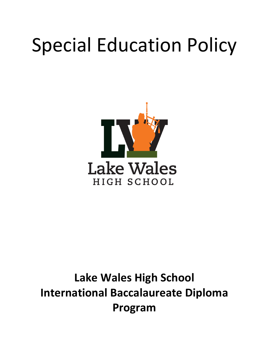# Special Education Policy



# **Lake Wales High School International Baccalaureate Diploma Program**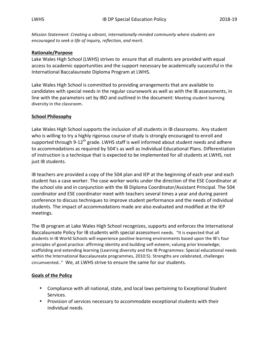*Mission Statement: Creating a vibrant, internationally-minded community where students are encouraged to seek a life of inquiry, reflection, and merit.*

#### **Rationale/Purpose**

Lake Wales High School (LWHS) strives to ensure that all students are provided with equal access to academic opportunities and the support necessary be academically successful in the International Baccalaureate Diploma Program at LWHS.

Lake Wales High School is committed to providing arrangements that are available to candidates with special needs in the regular coursework as well as with the IB assessments, in line with the parameters set by IBO and outlined in the document: Meeting student learning diversity in the classroom.

## **School Philosophy**

Lake Wales High School supports the inclusion of all students in IB classrooms. Any student who is willing to try a highly rigorous course of study is strongly encouraged to enroll and supported through 9-12<sup>th</sup> grade. LWHS staff is well informed about student needs and adhere to accommodations as required by 504's as well as Individual Educational Plans. Differentiation of instruction is a technique that is expected to be implemented for all students at LWHS, not just IB students.

IB teachers are provided a copy of the 504 plan and IEP at the beginning of each year and each student has a case worker. The case worker works under the direction of the ESE Coordinator at the school site and in conjunction with the IB Diploma Coordinator/Assistant Principal. The 504 coordinator and ESE coordinator meet with teachers several times a year and during parent conference to discuss techniques to improve student performance and the needs of individual students. The impact of accommodations made are also evaluated and modified at the IEP meetings. 

The IB program at Lake Wales High School recognizes, supports and enforces the International Baccalaureate Policy for IB students with special assessment needs. "It is expected that all students in IB World Schools will experience positive learning environments based upon the IB's four principles of good practice: affirming identity and building self-esteem; valuing prior knowledge; scaffolding and extending learning (Learning diversity and the IB Programmes: Special educational needs within the International Baccalaureate programmes, 2010:5). Strengths are celebrated, challenges circumvented.." We, at LWHS strive to ensure the same for our students.

## **Goals of the Policy**

- Compliance with all national, state, and local laws pertaining to Exceptional Student Services.
- Provision of services necessary to accommodate exceptional students with their individual needs.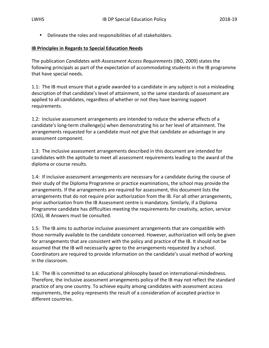• Delineate the roles and responsibilities of all stakeholders.

#### **IB Principles in Regards to Special Education Needs**

The publication *Candidates with Assessment Access Requirements* (IBO, 2009) states the following principals as part of the expectation of accommodating students in the IB programme that have special needs.

1.1: The IB must ensure that a grade awarded to a candidate in any subject is not a misleading description of that candidate's level of attainment, so the same standards of assessment are applied to all candidates, regardless of whether or not they have learning support requirements.

1.2: Inclusive assessment arrangements are intended to reduce the adverse effects of a candidate's long-term challenge(s) when demonstrating his or her level of attainment. The arrangements requested for a candidate must not give that candidate an advantage in any assessment component.

1.3: The inclusive assessment arrangements described in this document are intended for candidates with the aptitude to meet all assessment requirements leading to the award of the diploma or course results.

1.4: If inclusive assessment arrangements are necessary for a candidate during the course of their study of the Diploma Programme or practice examinations, the school may provide the arrangements. If the arrangements are required for assessment, this document lists the arrangements that do not require prior authorization from the IB. For all other arrangements, prior authorization from the IB Assessment centre is mandatory. Similarly, if a Diploma Programme candidate has difficulties meeting the requirements for creativity, action, service (CAS), IB Answers must be consulted.

1.5: The IB aims to authorize inclusive assessment arrangements that are compatible with those normally available to the candidate concerned. However, authorization will only be given for arrangements that are consistent with the policy and practice of the IB. It should not be assumed that the IB will necessarily agree to the arrangements requested by a school. Coordinators are required to provide information on the candidate's usual method of working in the classroom.

1.6: The IB is committed to an educational philosophy based on international-mindedness. Therefore, the inclusive assessment arrangements policy of the IB may not reflect the standard practice of any one country. To achieve equity among candidates with assessment access requirements, the policy represents the result of a consideration of accepted practice in different countries.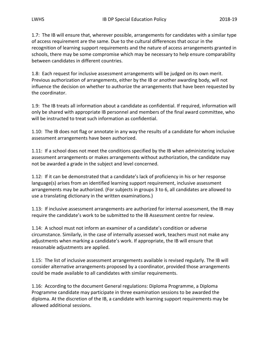1.7: The IB will ensure that, wherever possible, arrangements for candidates with a similar type of access requirement are the same. Due to the cultural differences that occur in the recognition of learning support requirements and the nature of access arrangements granted in schools, there may be some compromise which may be necessary to help ensure comparability between candidates in different countries.

1.8: Each request for inclusive assessment arrangements will be judged on its own merit. Previous authorization of arrangements, either by the IB or another awarding body, will not influence the decision on whether to authorize the arrangements that have been requested by the coordinator.

1.9: The IB treats all information about a candidate as confidential. If required, information will only be shared with appropriate IB personnel and members of the final award committee, who will be instructed to treat such information as confidential.

1.10: The IB does not flag or annotate in any way the results of a candidate for whom inclusive assessment arrangements have been authorized.

1.11: If a school does not meet the conditions specified by the IB when administering inclusive assessment arrangements or makes arrangements without authorization, the candidate may not be awarded a grade in the subject and level concerned.

1.12: If it can be demonstrated that a candidate's lack of proficiency in his or her response language(s) arises from an identified learning support requirement, inclusive assessment arrangements may be authorized. (For subjects in groups 3 to 6, all candidates are allowed to use a translating dictionary in the written examinations.)

1.13: If inclusive assessment arrangements are authorized for internal assessment, the IB may require the candidate's work to be submitted to the IB Assessment centre for review.

1.14: A school must not inform an examiner of a candidate's condition or adverse circumstance. Similarly, in the case of internally assessed work, teachers must not make any adjustments when marking a candidate's work. If appropriate, the IB will ensure that reasonable adjustments are applied.

1.15: The list of inclusive assessment arrangements available is revised regularly. The IB will consider alternative arrangements proposed by a coordinator, provided those arrangements could be made available to all candidates with similar requirements.

1.16: According to the document General regulations: Diploma Programme, a Diploma Programme candidate may participate in three examination sessions to be awarded the diploma. At the discretion of the IB, a candidate with learning support requirements may be allowed additional sessions.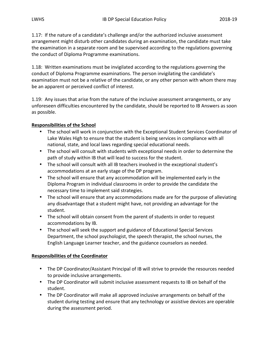1.17: If the nature of a candidate's challenge and/or the authorized inclusive assessment arrangement might disturb other candidates during an examination, the candidate must take the examination in a separate room and be supervised according to the regulations governing the conduct of Diploma Programme examinations.

1.18: Written examinations must be invigilated according to the regulations governing the conduct of Diploma Programme examinations. The person invigilating the candidate's examination must not be a relative of the candidate, or any other person with whom there may be an apparent or perceived conflict of interest.

1.19: Any issues that arise from the nature of the inclusive assessment arrangements, or any unforeseen difficulties encountered by the candidate, should be reported to IB Answers as soon as possible.

# **Responsibilities of the School**

- The school will work in conjunction with the Exceptional Student Services Coordinator of Lake Wales High to ensure that the student is being services in compliance with all national, state, and local laws regarding special educational needs.
- The school will consult with students with exceptional needs in order to determine the path of study within IB that will lead to success for the student.
- The school will consult with all IB teachers involved in the exceptional student's accommodations at an early stage of the DP program.
- The school will ensure that any accommodation will be implemented early in the Diploma Program in individual classrooms in order to provide the candidate the necessary time to implement said strategies.
- The school will ensure that any accommodations made are for the purpose of alleviating any disadvantage that a student might have, not providing an advantage for the student.
- The school will obtain consent from the parent of students in order to request accommodations by IB.
- The school will seek the support and guidance of Educational Special Services Department, the school psychologist, the speech therapist, the school nurses, the English Language Learner teacher, and the guidance counselors as needed.

# **Responsibilities of the Coordinator**

- The DP Coordinator/Assistant Principal of IB will strive to provide the resources needed to provide inclusive arrangements.
- The DP Coordinator will submit inclusive assessment requests to IB on behalf of the student.
- The DP Coordinator will make all approved inclusive arrangements on behalf of the student during testing and ensure that any technology or assistive devices are operable during the assessment period.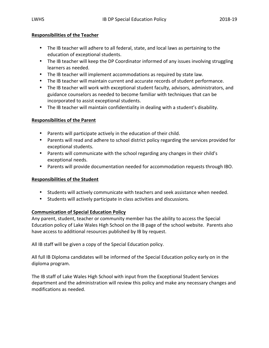# **Responsibilities of the Teacher**

- The IB teacher will adhere to all federal, state, and local laws as pertaining to the education of exceptional students.
- The IB teacher will keep the DP Coordinator informed of any issues involving struggling learners as needed.
- The IB teacher will implement accommodations as required by state law.
- The IB teacher will maintain current and accurate records of student performance.
- The IB teacher will work with exceptional student faculty, advisors, administrators, and guidance counselors as needed to become familiar with techniques that can be incorporated to assist exceptional students.
- The IB teacher will maintain confidentiality in dealing with a student's disability.

# **Responsibilities of the Parent**

- Parents will participate actively in the education of their child.
- Parents will read and adhere to school district policy regarding the services provided for exceptional students.
- Parents will communicate with the school regarding any changes in their child's exceptional needs.
- Parents will provide documentation needed for accommodation requests through IBO.

## **Responsibilities of the Student**

- Students will actively communicate with teachers and seek assistance when needed.
- Students will actively participate in class activities and discussions.

## **Communication of Special Education Policy**

Any parent, student, teacher or community member has the ability to access the Special Education policy of Lake Wales High School on the IB page of the school website. Parents also have access to additional resources published by IB by request.

All IB staff will be given a copy of the Special Education policy.

All full IB Diploma candidates will be informed of the Special Education policy early on in the diploma program. 

The IB staff of Lake Wales High School with input from the Exceptional Student Services department and the administration will review this policy and make any necessary changes and modifications as needed.